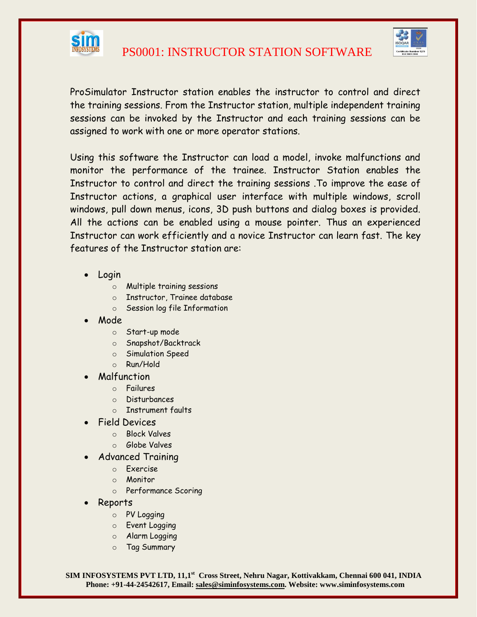



ProSimulator Instructor station enables the instructor to control and direct the training sessions. From the Instructor station, multiple independent training sessions can be invoked by the Instructor and each training sessions can be assigned to work with one or more operator stations.

Using this software the Instructor can load a model, invoke malfunctions and monitor the performance of the trainee. Instructor Station enables the Instructor to control and direct the training sessions .To improve the ease of Instructor actions, a graphical user interface with multiple windows, scroll windows, pull down menus, icons, 3D push buttons and dialog boxes is provided. All the actions can be enabled using a mouse pointer. Thus an experienced Instructor can work efficiently and a novice Instructor can learn fast. The key features of the Instructor station are:

- Login
	- o Multiple training sessions
	- o Instructor, Trainee database
	- o Session log file Information
- Mode
	- o Start-up mode
	- o Snapshot/Backtrack
	- o Simulation Speed
	- o Run/Hold
- Malfunction
	- o Failures
	- o Disturbances
	- o Instrument faults
- Field Devices
	- o Block Valves
	- o Globe Valves
- Advanced Training
	- o Exercise
	- o Monitor
	- o Performance Scoring
- Reports
	- o PV Logging
	- o Event Logging
	- o Alarm Logging
	- o Tag Summary

**SIM INFOSYSTEMS PVT LTD, 11,1st Cross Street, Nehru Nagar, Kottivakkam, Chennai 600 041, INDIA Phone: +91-44-24542617, Email: [sales@siminfosystems.com.](mailto:sales@siminfosystems.com) Website: www.siminfosystems.com**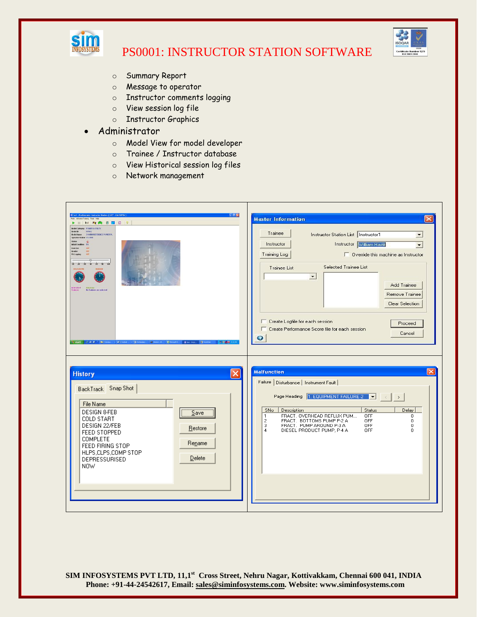

## PS0001: INSTRUCTOR STATION SOFTWARE



- o Summary Report
- o Message to operator
- o Instructor comments logging
- o View session log file
- o Instructor Graphics
- Administrator
	- o Model View for model developer
	- o Trainee / Instructor database
	- o View Historical session log files
	- o Network management

| Inst - ProSimulator Instructor Station [ UCT - CALCUTTA ]                                                                                                                                                                                                | <b>Master Information</b>                                                                                                                                                                                                                                                                                                                                                                                              |
|----------------------------------------------------------------------------------------------------------------------------------------------------------------------------------------------------------------------------------------------------------|------------------------------------------------------------------------------------------------------------------------------------------------------------------------------------------------------------------------------------------------------------------------------------------------------------------------------------------------------------------------------------------------------------------------|
| <b>DIETX</b>                                                                                                                                                                                                                                             | Trainee                                                                                                                                                                                                                                                                                                                                                                                                                |
| Advance Training Tools Help                                                                                                                                                                                                                              | Instructor Station List   Instructor1                                                                                                                                                                                                                                                                                                                                                                                  |
|                                                                                                                                                                                                                                                          | $\blacktriangledown$                                                                                                                                                                                                                                                                                                                                                                                                   |
| Model Category POWER & UTILITY                                                                                                                                                                                                                           | Instructor William Hazlit                                                                                                                                                                                                                                                                                                                                                                                              |
| Model (D)                                                                                                                                                                                                                                                | Instructor                                                                                                                                                                                                                                                                                                                                                                                                             |
| ppsa2                                                                                                                                                                                                                                                    | $\blacktriangledown$                                                                                                                                                                                                                                                                                                                                                                                                   |
| Model Name 210 MW REFERENCE POWER PL                                                                                                                                                                                                                     | Override this machine as Instructor                                                                                                                                                                                                                                                                                                                                                                                    |
| Operator Station CS 3000                                                                                                                                                                                                                                 | <b>Training Log</b>                                                                                                                                                                                                                                                                                                                                                                                                    |
| Station                                                                                                                                                                                                                                                  | <b>Selected Trainee List</b>                                                                                                                                                                                                                                                                                                                                                                                           |
| $\bullet$                                                                                                                                                                                                                                                | <b>Trainee List</b>                                                                                                                                                                                                                                                                                                                                                                                                    |
| Initial Condit                                                                                                                                                                                                                                           | $\overline{ }$                                                                                                                                                                                                                                                                                                                                                                                                         |
| $-0s$                                                                                                                                                                                                                                                    | Add Trainee                                                                                                                                                                                                                                                                                                                                                                                                            |
| Exercise                                                                                                                                                                                                                                                 | Remove Trainee                                                                                                                                                                                                                                                                                                                                                                                                         |
| <b>Monitor</b>                                                                                                                                                                                                                                           | Clear Selection                                                                                                                                                                                                                                                                                                                                                                                                        |
| PVLopping                                                                                                                                                                                                                                                | □ Create Logfile for each session                                                                                                                                                                                                                                                                                                                                                                                      |
| $\overline{\mathcal{R}}$                                                                                                                                                                                                                                 | Proceed                                                                                                                                                                                                                                                                                                                                                                                                                |
| <b>MS24:30 PM</b>                                                                                                                                                                                                                                        | □ Create Performance Score file for each session                                                                                                                                                                                                                                                                                                                                                                       |
| No Trainees are selected                                                                                                                                                                                                                                 | Cancel                                                                                                                                                                                                                                                                                                                                                                                                                 |
|                                                                                                                                                                                                                                                          | $\bullet$                                                                                                                                                                                                                                                                                                                                                                                                              |
| ×<br><b>History</b><br>BackTrack Snap Shot<br>File Name<br>DESIGN 8-FEB<br>$S$ ave<br>COLD START<br>DESIGN 22/FEB<br>Restore<br>FEED STOPPED<br><b>COMPLETE</b><br>Rename<br>FEED FIRING STOP<br>HLPS, CLPS, COMP STOP<br>Delete<br>DEPRESSURISED<br>NOW | <b>Malfunction</b><br>Failure   Disturbance   Instrument Fault  <br>Page Heading 1. EQUIPMENT FAILURE-2   -<br>$\rightarrow$<br>SN <sub>o</sub><br>Description<br>Status<br>Delay<br>OFF<br>$\mathbf{1}$<br>FRACT. OVERHEAD REFLUX PUM<br>0<br>$\overline{c}$<br>OFF<br>FRACT. BOTTOMS PUMP P-2 A<br>$\mathbf 0$<br>з<br>FRACT. PUMP AROUND P-3 A<br>OFF<br>$\mathbf 0$<br>OFF<br>0<br>DIESEL PRODUCT PUMP, P-4 A<br>4 |

**SIM INFOSYSTEMS PVT LTD, 11,1st Cross Street, Nehru Nagar, Kottivakkam, Chennai 600 041, INDIA Phone: +91-44-24542617, Email: [sales@siminfosystems.com.](mailto:sales@siminfosystems.com) Website: www.siminfosystems.com**